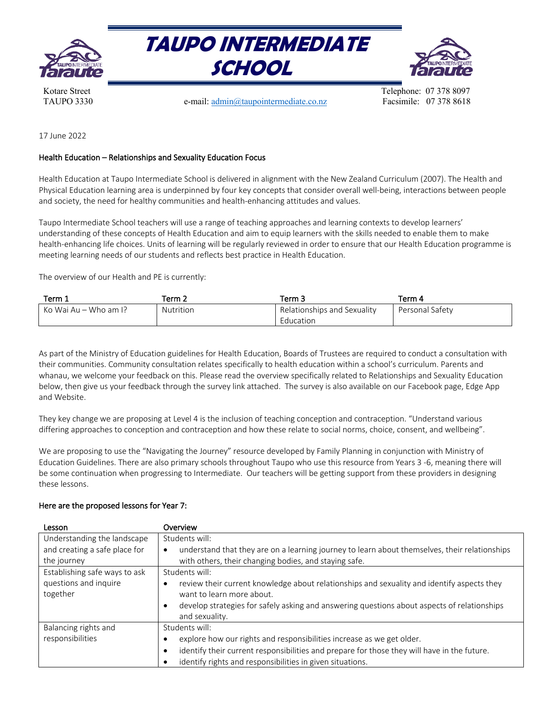





TAUPO 3330 **e-mail:** admin@taupointermediate.co.nz Facsimile: 07 378 8618

Kotare Street Telephone: 07 378 8097

17 June 2022

## Health Education – Relationships and Sexuality Education Focus

Health Education at Taupo Intermediate School is delivered in alignment with the New Zealand Curriculum (2007). The Health and Physical Education learning area is underpinned by four key concepts that consider overall well-being, interactions between people and society, the need for healthy communities and health-enhancing attitudes and values.

Taupo Intermediate School teachers will use a range of teaching approaches and learning contexts to develop learners' understanding of these concepts of Health Education and aim to equip learners with the skills needed to enable them to make health-enhancing life choices. Units of learning will be regularly reviewed in order to ensure that our Health Education programme is meeting learning needs of our students and reflects best practice in Health Education.

The overview of our Health and PE is currently:

| Term 1                | Term 2    | Ferm 3                      | Term 4          |
|-----------------------|-----------|-----------------------------|-----------------|
| Ko Wai Au – Who am I? | Nutrition | Relationships and Sexuality | Personal Safety |
|                       |           | Education                   |                 |

As part of the Ministry of Education guidelines for Health Education, Boards of Trustees are required to conduct a consultation with their communities. Community consultation relates specifically to health education within a school's curriculum. Parents and whanau, we welcome your feedback on this. Please read the overview specifically related to Relationships and Sexuality Education below, then give us your feedback through the survey link attached. The survey is also available on our Facebook page, Edge App and Website.

They key change we are proposing at Level 4 is the inclusion of teaching conception and contraception. "Understand various differing approaches to conception and contraception and how these relate to social norms, choice, consent, and wellbeing".

We are proposing to use the "Navigating the Journey" resource developed by Family Planning in conjunction with Ministry of Education Guidelines. There are also primary schools throughout Taupo who use this resource from Years 3 -6, meaning there will be some continuation when progressing to Intermediate. Our teachers will be getting support from these providers in designing these lessons.

| Lesson                        | Overview                                                                                                   |
|-------------------------------|------------------------------------------------------------------------------------------------------------|
| Understanding the landscape   | Students will:                                                                                             |
| and creating a safe place for | understand that they are on a learning journey to learn about themselves, their relationships<br>$\bullet$ |
| the journey                   | with others, their changing bodies, and staying safe.                                                      |
| Establishing safe ways to ask | Students will:                                                                                             |
| questions and inquire         | review their current knowledge about relationships and sexuality and identify aspects they<br>$\bullet$    |
| together                      | want to learn more about.                                                                                  |
|                               | develop strategies for safely asking and answering questions about aspects of relationships<br>$\bullet$   |
|                               | and sexuality.                                                                                             |
| Balancing rights and          | Students will:                                                                                             |
| responsibilities              | explore how our rights and responsibilities increase as we get older.                                      |
|                               | identify their current responsibilities and prepare for those they will have in the future.<br>$\bullet$   |
|                               | identify rights and responsibilities in given situations.<br>٠                                             |

## Here are the proposed lessons for Year 7: